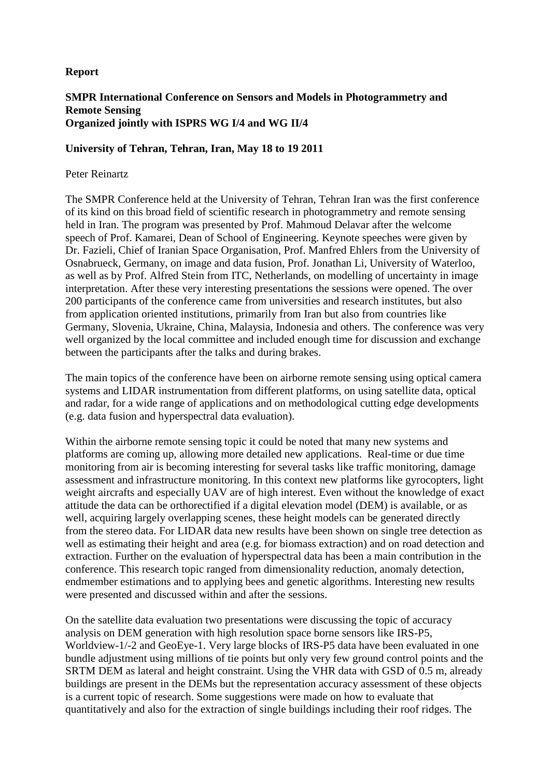## **Report**

## **SMPR International Conference on Sensors and Models in Photogrammetry and Remote Sensing Organized jointly with ISPRS WG I/4 and WG II/4**

## **University of Tehran, Tehran, Iran, May 18 to 19 2011**

## Peter Reinartz

The SMPR Conference held at the University of Tehran, Tehran Iran was the first conference of its kind on this broad field of scientific research in photogrammetry and remote sensing held in Iran. The program was presented by Prof. Mahmoud Delavar after the welcome speech of Prof. Kamarei, Dean of School of Engineering. Keynote speeches were given by Dr. Fazieli, Chief of Iranian Space Organisation, Prof. Manfred Ehlers from the University of Osnabrueck, Germany, on image and data fusion, Prof. Jonathan Li, University of Waterloo, as well as by Prof. Alfred Stein from ITC, Netherlands, on modelling of uncertainty in image interpretation. After these very interesting presentations the sessions were opened. The over 200 participants of the conference came from universities and research institutes, but also from application oriented institutions, primarily from Iran but also from countries like Germany, Slovenia, Ukraine, China, Malaysia, Indonesia and others. The conference was very well organized by the local committee and included enough time for discussion and exchange between the participants after the talks and during brakes.

The main topics of the conference have been on airborne remote sensing using optical camera systems and LIDAR instrumentation from different platforms, on using satellite data, optical and radar, for a wide range of applications and on methodological cutting edge developments (e.g. data fusion and hyperspectral data evaluation).

Within the airborne remote sensing topic it could be noted that many new systems and platforms are coming up, allowing more detailed new applications. Real-time or due time monitoring from air is becoming interesting for several tasks like traffic monitoring, damage assessment and infrastructure monitoring. In this context new platforms like gyrocopters, light weight aircrafts and especially UAV are of high interest. Even without the knowledge of exact attitude the data can be orthorectified if a digital elevation model (DEM) is available, or as well, acquiring largely overlapping scenes, these height models can be generated directly from the stereo data. For LIDAR data new results have been shown on single tree detection as well as estimating their height and area (e.g. for biomass extraction) and on road detection and extraction. Further on the evaluation of hyperspectral data has been a main contribution in the conference. This research topic ranged from dimensionality reduction, anomaly detection, endmember estimations and to applying bees and genetic algorithms. Interesting new results were presented and discussed within and after the sessions.

On the satellite data evaluation two presentations were discussing the topic of accuracy analysis on DEM generation with high resolution space borne sensors like IRS-P5, Worldview-1/-2 and GeoEye-1. Very large blocks of IRS-P5 data have been evaluated in one bundle adjustment using millions of tie points but only very few ground control points and the SRTM DEM as lateral and height constraint. Using the VHR data with GSD of 0.5 m, already buildings are present in the DEMs but the representation accuracy assessment of these objects is a current topic of research. Some suggestions were made on how to evaluate that quantitatively and also for the extraction of single buildings including their roof ridges. The